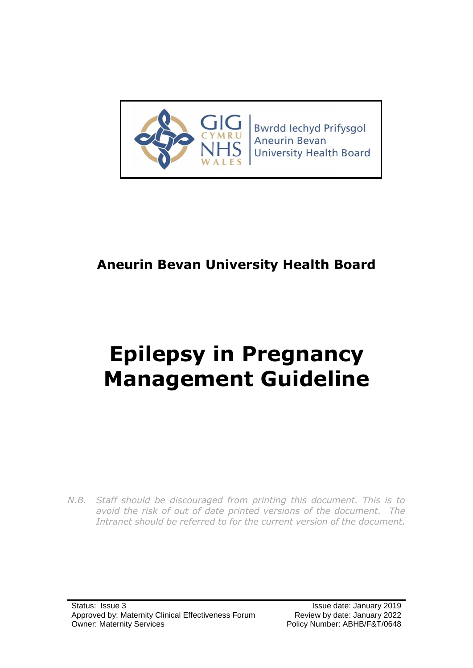

Bwrdd Iechyd Prifysgol **Aneurin Bevan University Health Board** 

# **Aneurin Bevan University Health Board**

# **Epilepsy in Pregnancy Management Guideline**

*N.B. Staff should be discouraged from printing this document. This is to avoid the risk of out of date printed versions of the document. The Intranet should be referred to for the current version of the document.*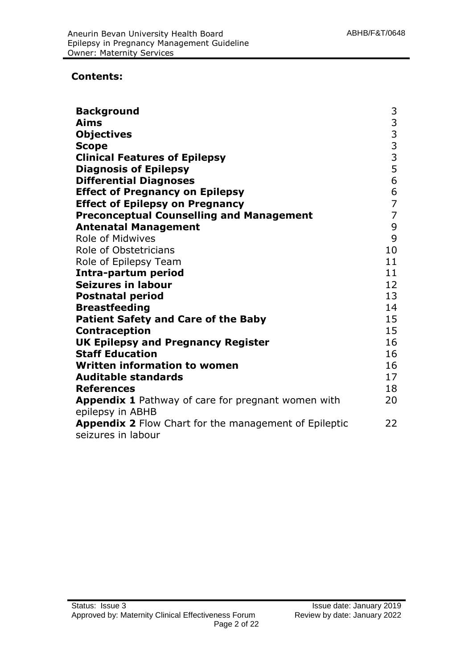#### **Contents:**

| <b>Background</b>                                                      | 3              |
|------------------------------------------------------------------------|----------------|
| Aims                                                                   | 3              |
| <b>Objectives</b>                                                      | $\overline{3}$ |
| <b>Scope</b>                                                           | $\overline{3}$ |
| <b>Clinical Features of Epilepsy</b>                                   | 3              |
| <b>Diagnosis of Epilepsy</b>                                           | 5              |
| <b>Differential Diagnoses</b>                                          | 6              |
| <b>Effect of Pregnancy on Epilepsy</b>                                 | 6              |
| <b>Effect of Epilepsy on Pregnancy</b>                                 | $\overline{7}$ |
| <b>Preconceptual Counselling and Management</b>                        | $\overline{7}$ |
| <b>Antenatal Management</b>                                            | 9              |
| Role of Midwives                                                       | 9              |
| <b>Role of Obstetricians</b>                                           | 10             |
| Role of Epilepsy Team                                                  | 11             |
| Intra-partum period                                                    | 11             |
| <b>Seizures in labour</b>                                              | 12             |
| <b>Postnatal period</b>                                                | 13             |
| <b>Breastfeeding</b>                                                   | 14             |
| <b>Patient Safety and Care of the Baby</b>                             | 15             |
| <b>Contraception</b>                                                   | 15             |
| <b>UK Epilepsy and Pregnancy Register</b>                              | 16             |
| <b>Staff Education</b>                                                 | 16             |
| <b>Written information to women</b>                                    | 16             |
| <b>Auditable standards</b>                                             | 17             |
| <b>References</b>                                                      | 18             |
| Appendix 1 Pathway of care for pregnant women with<br>epilepsy in ABHB | 20             |
| Appendix 2 Flow Chart for the management of Epileptic                  | 22             |
| seizures in labour                                                     |                |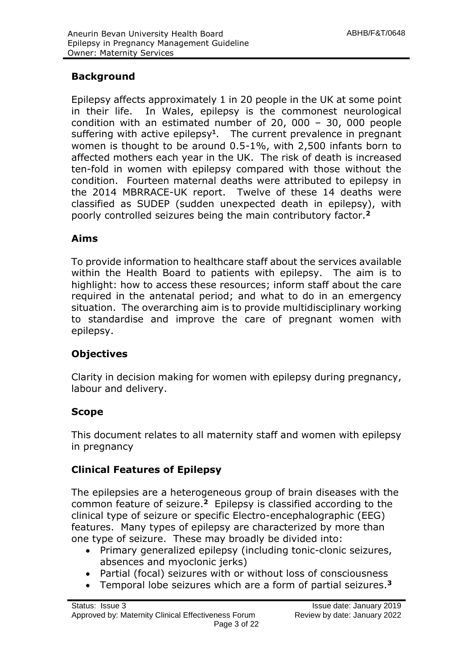# **Background**

Epilepsy affects approximately 1 in 20 people in the UK at some point in their life. In Wales, epilepsy is the commonest neurological condition with an estimated number of 20, 000 – 30, 000 people suffering with active epilepsy**<sup>1</sup>** . The current prevalence in pregnant women is thought to be around 0.5-1%, with 2,500 infants born to affected mothers each year in the UK. The risk of death is increased ten-fold in women with epilepsy compared with those without the condition. Fourteen maternal deaths were attributed to epilepsy in the 2014 MBRRACE-UK report. Twelve of these 14 deaths were classified as SUDEP (sudden unexpected death in epilepsy), with poorly controlled seizures being the main contributory factor.**<sup>2</sup>**

# **Aims**

To provide information to healthcare staff about the services available within the Health Board to patients with epilepsy. The aim is to highlight: how to access these resources; inform staff about the care required in the antenatal period; and what to do in an emergency situation. The overarching aim is to provide multidisciplinary working to standardise and improve the care of pregnant women with epilepsy.

# **Objectives**

Clarity in decision making for women with epilepsy during pregnancy, labour and delivery.

# **Scope**

This document relates to all maternity staff and women with epilepsy in pregnancy

# **Clinical Features of Epilepsy**

The epilepsies are a heterogeneous group of brain diseases with the common feature of seizure. **<sup>2</sup>** Epilepsy is classified according to the clinical type of seizure or specific Electro-encephalographic (EEG) features. Many types of epilepsy are characterized by more than one type of seizure. These may broadly be divided into:

- Primary generalized epilepsy (including tonic-clonic seizures, absences and myoclonic jerks)
- Partial (focal) seizures with or without loss of consciousness
- Temporal lobe seizures which are a form of partial seizures.**<sup>3</sup>**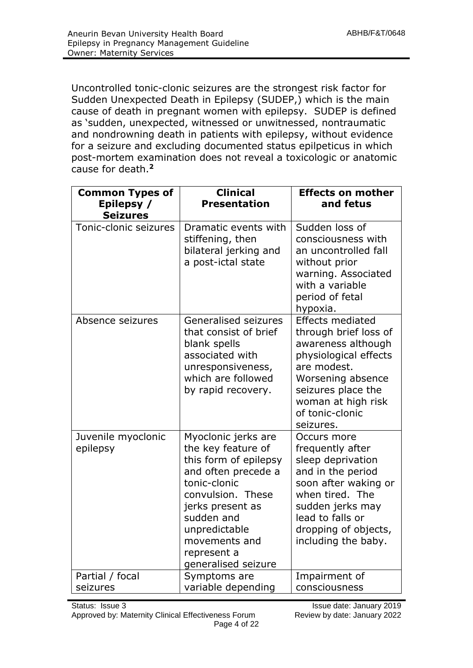Uncontrolled tonic-clonic seizures are the strongest risk factor for Sudden Unexpected Death in Epilepsy (SUDEP,) which is the main cause of death in pregnant women with epilepsy. SUDEP is defined as 'sudden, unexpected, witnessed or unwitnessed, nontraumatic and nondrowning death in patients with epilepsy, without evidence for a seizure and excluding documented status epilpeticus in which post-mortem examination does not reveal a toxicologic or anatomic cause for death.**<sup>2</sup>**

| <b>Common Types of</b><br>Epilepsy /<br><b>Seizures</b> | <b>Clinical</b><br><b>Presentation</b>                                                                                                                                                                                                   | <b>Effects on mother</b><br>and fetus                                                                                                                                                                           |
|---------------------------------------------------------|------------------------------------------------------------------------------------------------------------------------------------------------------------------------------------------------------------------------------------------|-----------------------------------------------------------------------------------------------------------------------------------------------------------------------------------------------------------------|
| Tonic-clonic seizures                                   | Dramatic events with<br>stiffening, then<br>bilateral jerking and<br>a post-ictal state                                                                                                                                                  | Sudden loss of<br>consciousness with<br>an uncontrolled fall<br>without prior<br>warning. Associated<br>with a variable<br>period of fetal<br>hypoxia.                                                          |
| Absence seizures                                        | <b>Generalised seizures</b><br>that consist of brief<br>blank spells<br>associated with<br>unresponsiveness,<br>which are followed<br>by rapid recovery.                                                                                 | <b>Effects mediated</b><br>through brief loss of<br>awareness although<br>physiological effects<br>are modest.<br>Worsening absence<br>seizures place the<br>woman at high risk<br>of tonic-clonic<br>seizures. |
| Juvenile myoclonic<br>epilepsy                          | Myoclonic jerks are<br>the key feature of<br>this form of epilepsy<br>and often precede a<br>tonic-clonic<br>convulsion. These<br>jerks present as<br>sudden and<br>unpredictable<br>movements and<br>represent a<br>generalised seizure | Occurs more<br>frequently after<br>sleep deprivation<br>and in the period<br>soon after waking or<br>when tired. The<br>sudden jerks may<br>lead to falls or<br>dropping of objects,<br>including the baby.     |
| Partial / focal<br>seizures                             | Symptoms are<br>variable depending                                                                                                                                                                                                       | Impairment of<br>consciousness                                                                                                                                                                                  |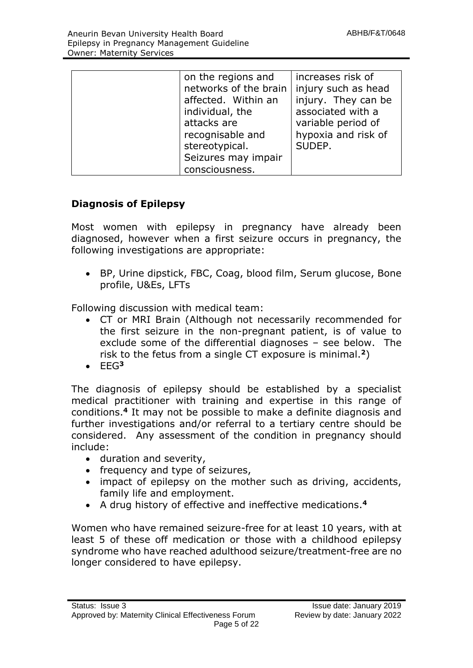| on the regions and<br>networks of the brain<br>affected. Within an<br>individual, the<br>attacks are<br>recognisable and<br>stereotypical.<br>Seizures may impair | increases risk of<br>injury such as head<br>injury. They can be<br>associated with a<br>variable period of<br>hypoxia and risk of<br>SUDEP. |
|-------------------------------------------------------------------------------------------------------------------------------------------------------------------|---------------------------------------------------------------------------------------------------------------------------------------------|
| consciousness.                                                                                                                                                    |                                                                                                                                             |

# **Diagnosis of Epilepsy**

Most women with epilepsy in pregnancy have already been diagnosed, however when a first seizure occurs in pregnancy, the following investigations are appropriate:

 BP, Urine dipstick, FBC, Coag, blood film, Serum glucose, Bone profile, U&Es, LFTs

Following discussion with medical team:

- CT or MRI Brain (Although not necessarily recommended for the first seizure in the non-pregnant patient, is of value to exclude some of the differential diagnoses – see below. The risk to the fetus from a single CT exposure is minimal.**<sup>2</sup>**)
- $EFG<sup>3</sup>$

The diagnosis of epilepsy should be established by a specialist medical practitioner with training and expertise in this range of conditions. **<sup>4</sup>** It may not be possible to make a definite diagnosis and further investigations and/or referral to a tertiary centre should be considered. Any assessment of the condition in pregnancy should include:

- duration and severity,
- frequency and type of seizures,
- impact of epilepsy on the mother such as driving, accidents, family life and employment.
- A drug history of effective and ineffective medications. **4**

Women who have remained seizure-free for at least 10 years, with at least 5 of these off medication or those with a childhood epilepsy syndrome who have reached adulthood seizure/treatment-free are no longer considered to have epilepsy.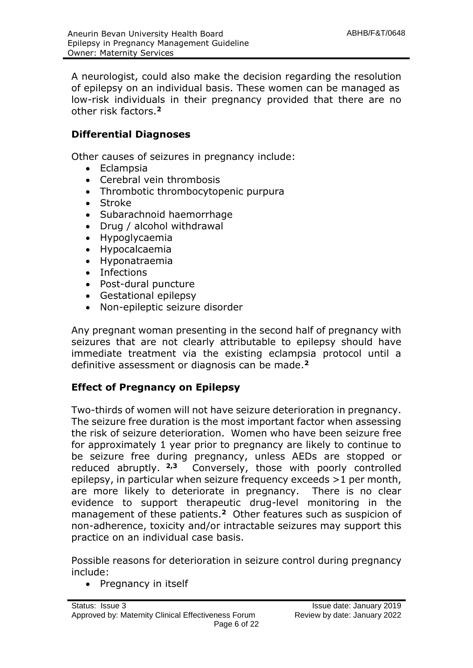A neurologist, could also make the decision regarding the resolution of epilepsy on an individual basis. These women can be managed as low-risk individuals in their pregnancy provided that there are no other risk factors.**<sup>2</sup>**

# **Differential Diagnoses**

Other causes of seizures in pregnancy include:

- Eclampsia
- Cerebral vein thrombosis
- Thrombotic thrombocytopenic purpura
- Stroke
- Subarachnoid haemorrhage
- Drug / alcohol withdrawal
- Hypoglycaemia
- Hypocalcaemia
- Hyponatraemia
- Infections
- Post-dural puncture
- Gestational epilepsy
- Non-epileptic seizure disorder

Any pregnant woman presenting in the second half of pregnancy with seizures that are not clearly attributable to epilepsy should have immediate treatment via the existing eclampsia protocol until a definitive assessment or diagnosis can be made.**<sup>2</sup>**

# **Effect of Pregnancy on Epilepsy**

Two-thirds of women will not have seizure deterioration in pregnancy. The seizure free duration is the most important factor when assessing the risk of seizure deterioration. Women who have been seizure free for approximately 1 year prior to pregnancy are likely to continue to be seizure free during pregnancy, unless AEDs are stopped or reduced abruptly. **2,3** Conversely, those with poorly controlled epilepsy, in particular when seizure frequency exceeds >1 per month, are more likely to deteriorate in pregnancy. There is no clear evidence to support therapeutic drug-level monitoring in the management of these patients.**<sup>2</sup>** Other features such as suspicion of non-adherence, toxicity and/or intractable seizures may support this practice on an individual case basis.

Possible reasons for deterioration in seizure control during pregnancy include:

• Pregnancy in itself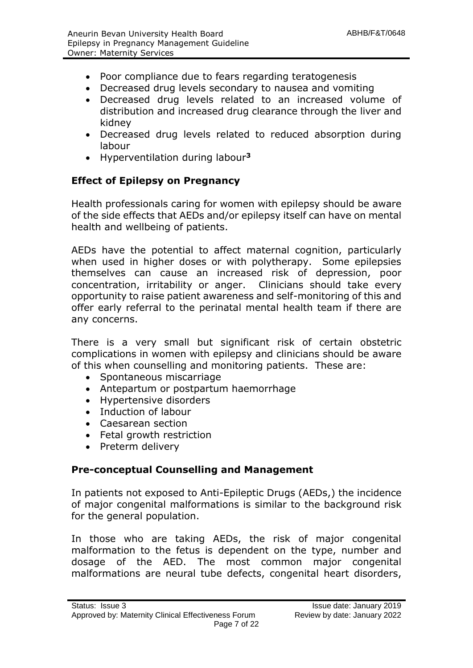- Poor compliance due to fears regarding teratogenesis
- Decreased drug levels secondary to nausea and vomiting
- Decreased drug levels related to an increased volume of distribution and increased drug clearance through the liver and kidney
- Decreased drug levels related to reduced absorption during labour
- Hyperventilation during labour**<sup>3</sup>**

# **Effect of Epilepsy on Pregnancy**

Health professionals caring for women with epilepsy should be aware of the side effects that AEDs and/or epilepsy itself can have on mental health and wellbeing of patients.

AEDs have the potential to affect maternal cognition, particularly when used in higher doses or with polytherapy. Some epilepsies themselves can cause an increased risk of depression, poor concentration, irritability or anger. Clinicians should take every opportunity to raise patient awareness and self-monitoring of this and offer early referral to the perinatal mental health team if there are any concerns.

There is a very small but significant risk of certain obstetric complications in women with epilepsy and clinicians should be aware of this when counselling and monitoring patients. These are:

- Spontaneous miscarriage
- Antepartum or postpartum haemorrhage
- Hypertensive disorders
- Induction of labour
- Caesarean section
- Fetal growth restriction
- Preterm delivery

# **Pre-conceptual Counselling and Management**

In patients not exposed to Anti-Epileptic Drugs (AEDs,) the incidence of major congenital malformations is similar to the background risk for the general population.

In those who are taking AEDs, the risk of major congenital malformation to the fetus is dependent on the type, number and dosage of the AED. The most common major congenital malformations are neural tube defects, congenital heart disorders,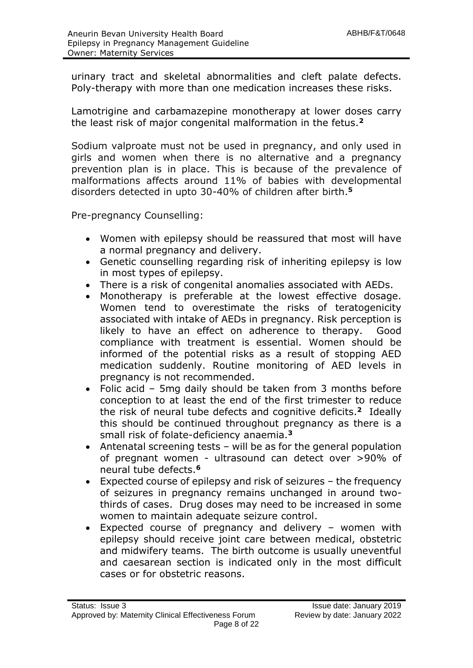urinary tract and skeletal abnormalities and cleft palate defects. Poly-therapy with more than one medication increases these risks.

Lamotrigine and carbamazepine monotherapy at lower doses carry the least risk of major congenital malformation in the fetus.**<sup>2</sup>**

Sodium valproate must not be used in pregnancy, and only used in girls and women when there is no alternative and a pregnancy prevention plan is in place. This is because of the prevalence of malformations affects around 11% of babies with developmental disorders detected in upto 30-40% of children after birth.**<sup>5</sup>**

Pre-pregnancy Counselling:

- Women with epilepsy should be reassured that most will have a normal pregnancy and delivery.
- Genetic counselling regarding risk of inheriting epilepsy is low in most types of epilepsy.
- There is a risk of congenital anomalies associated with AEDs.
- Monotherapy is preferable at the lowest effective dosage. Women tend to overestimate the risks of teratogenicity associated with intake of AEDs in pregnancy. Risk perception is likely to have an effect on adherence to therapy. Good compliance with treatment is essential. Women should be informed of the potential risks as a result of stopping AED medication suddenly. Routine monitoring of AED levels in pregnancy is not recommended.
- Folic acid 5mg daily should be taken from 3 months before conception to at least the end of the first trimester to reduce the risk of neural tube defects and cognitive deficits. **<sup>2</sup>** Ideally this should be continued throughout pregnancy as there is a small risk of folate-deficiency anaemia.**<sup>3</sup>**
- Antenatal screening tests will be as for the general population of pregnant women - ultrasound can detect over >90% of neural tube defects.**<sup>6</sup>**
- Expected course of epilepsy and risk of seizures the frequency of seizures in pregnancy remains unchanged in around twothirds of cases. Drug doses may need to be increased in some women to maintain adequate seizure control.
- Expected course of pregnancy and delivery women with epilepsy should receive joint care between medical, obstetric and midwifery teams. The birth outcome is usually uneventful and caesarean section is indicated only in the most difficult cases or for obstetric reasons.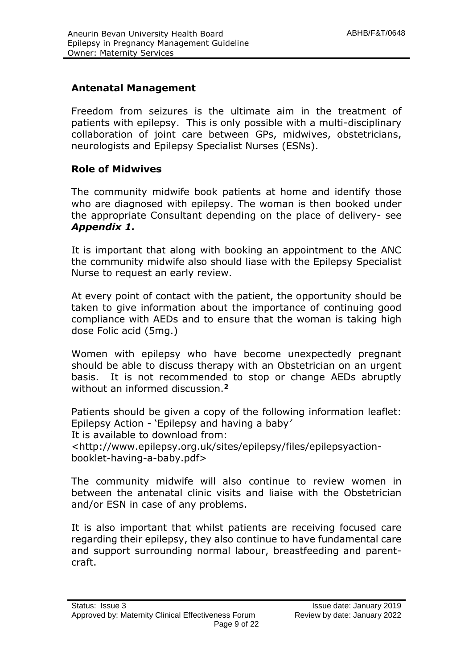# **Antenatal Management**

Freedom from seizures is the ultimate aim in the treatment of patients with epilepsy. This is only possible with a multi-disciplinary collaboration of joint care between GPs, midwives, obstetricians, neurologists and Epilepsy Specialist Nurses (ESNs).

# **Role of Midwives**

The community midwife book patients at home and identify those who are diagnosed with epilepsy. The woman is then booked under the appropriate Consultant depending on the place of delivery- see *Appendix 1.*

It is important that along with booking an appointment to the ANC the community midwife also should liase with the Epilepsy Specialist Nurse to request an early review.

At every point of contact with the patient, the opportunity should be taken to give information about the importance of continuing good compliance with AEDs and to ensure that the woman is taking high dose Folic acid (5mg.)

Women with epilepsy who have become unexpectedly pregnant should be able to discuss therapy with an Obstetrician on an urgent basis. It is not recommended to stop or change AEDs abruptly without an informed discussion.**<sup>2</sup>**

Patients should be given a copy of the following information leaflet: Epilepsy Action - 'Epilepsy and having a baby*'* It is available to download from: <http://www.epilepsy.org.uk/sites/epilepsy/files/epilepsyaction-

booklet-having-a-baby.pdf>

The community midwife will also continue to review women in between the antenatal clinic visits and liaise with the Obstetrician and/or ESN in case of any problems.

It is also important that whilst patients are receiving focused care regarding their epilepsy, they also continue to have fundamental care and support surrounding normal labour, breastfeeding and parentcraft.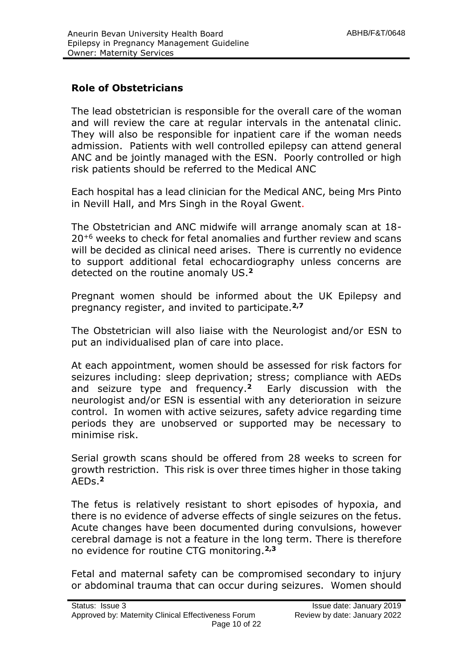# **Role of Obstetricians**

The lead obstetrician is responsible for the overall care of the woman and will review the care at regular intervals in the antenatal clinic. They will also be responsible for inpatient care if the woman needs admission. Patients with well controlled epilepsy can attend general ANC and be jointly managed with the ESN. Poorly controlled or high risk patients should be referred to the Medical ANC

Each hospital has a lead clinician for the Medical ANC, being Mrs Pinto in Nevill Hall, and Mrs Singh in the Royal Gwent.

The Obstetrician and ANC midwife will arrange anomaly scan at 18- 20<sup>+6</sup> weeks to check for fetal anomalies and further review and scans will be decided as clinical need arises. There is currently no evidence to support additional fetal echocardiography unless concerns are detected on the routine anomaly US.**<sup>2</sup>**

Pregnant women should be informed about the UK Epilepsy and pregnancy register, and invited to participate.**2,7**

The Obstetrician will also liaise with the Neurologist and/or ESN to put an individualised plan of care into place.

At each appointment, women should be assessed for risk factors for seizures including: sleep deprivation; stress; compliance with AEDs and seizure type and frequency.**<sup>2</sup>** Early discussion with the neurologist and/or ESN is essential with any deterioration in seizure control. In women with active seizures, safety advice regarding time periods they are unobserved or supported may be necessary to minimise risk.

Serial growth scans should be offered from 28 weeks to screen for growth restriction. This risk is over three times higher in those taking AEDs.**<sup>2</sup>**

The fetus is relatively resistant to short episodes of hypoxia, and there is no evidence of adverse effects of single seizures on the fetus. Acute changes have been documented during convulsions, however cerebral damage is not a feature in the long term. There is therefore no evidence for routine CTG monitoring.**2,3**

Fetal and maternal safety can be compromised secondary to injury or abdominal trauma that can occur during seizures. Women should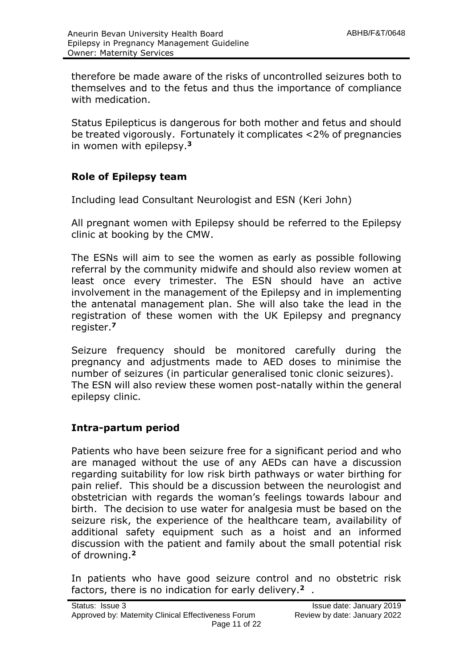therefore be made aware of the risks of uncontrolled seizures both to themselves and to the fetus and thus the importance of compliance with medication.

Status Epilepticus is dangerous for both mother and fetus and should be treated vigorously. Fortunately it complicates <2% of pregnancies in women with epilepsy.**<sup>3</sup>**

# **Role of Epilepsy team**

Including lead Consultant Neurologist and ESN (Keri John)

All pregnant women with Epilepsy should be referred to the Epilepsy clinic at booking by the CMW.

The ESNs will aim to see the women as early as possible following referral by the community midwife and should also review women at least once every trimester. The ESN should have an active involvement in the management of the Epilepsy and in implementing the antenatal management plan. She will also take the lead in the registration of these women with the UK Epilepsy and pregnancy register.**<sup>7</sup>**

Seizure frequency should be monitored carefully during the pregnancy and adjustments made to AED doses to minimise the number of seizures (in particular generalised tonic clonic seizures). The ESN will also review these women post-natally within the general epilepsy clinic.

# **Intra-partum period**

Patients who have been seizure free for a significant period and who are managed without the use of any AEDs can have a discussion regarding suitability for low risk birth pathways or water birthing for pain relief. This should be a discussion between the neurologist and obstetrician with regards the woman's feelings towards labour and birth. The decision to use water for analgesia must be based on the seizure risk, the experience of the healthcare team, availability of additional safety equipment such as a hoist and an informed discussion with the patient and family about the small potential risk of drowning.**<sup>2</sup>**

In patients who have good seizure control and no obstetric risk factors, there is no indication for early delivery.**2** .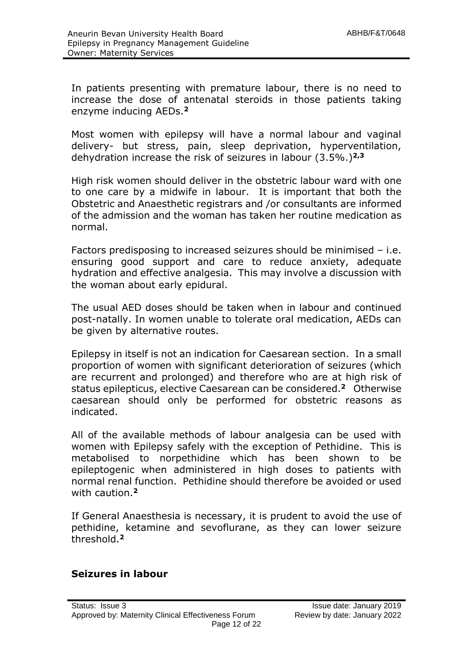In patients presenting with premature labour, there is no need to increase the dose of antenatal steroids in those patients taking enzyme inducing AEDs.**<sup>2</sup>**

Most women with epilepsy will have a normal labour and vaginal delivery- but stress, pain, sleep deprivation, hyperventilation, dehydration increase the risk of seizures in labour (3.5%.)**2,3**

High risk women should deliver in the obstetric labour ward with one to one care by a midwife in labour. It is important that both the Obstetric and Anaesthetic registrars and /or consultants are informed of the admission and the woman has taken her routine medication as normal.

Factors predisposing to increased seizures should be minimised – i.e. ensuring good support and care to reduce anxiety, adequate hydration and effective analgesia. This may involve a discussion with the woman about early epidural.

The usual AED doses should be taken when in labour and continued post-natally. In women unable to tolerate oral medication, AEDs can be given by alternative routes.

Epilepsy in itself is not an indication for Caesarean section. In a small proportion of women with significant deterioration of seizures (which are recurrent and prolonged) and therefore who are at high risk of status epilepticus, elective Caesarean can be considered.**<sup>2</sup>** Otherwise caesarean should only be performed for obstetric reasons as indicated.

All of the available methods of labour analgesia can be used with women with Epilepsy safely with the exception of Pethidine. This is metabolised to norpethidine which has been shown to be epileptogenic when administered in high doses to patients with normal renal function. Pethidine should therefore be avoided or used with caution.**<sup>2</sup>**

If General Anaesthesia is necessary, it is prudent to avoid the use of pethidine, ketamine and sevoflurane, as they can lower seizure threshold.**<sup>2</sup>**

# **Seizures in labour**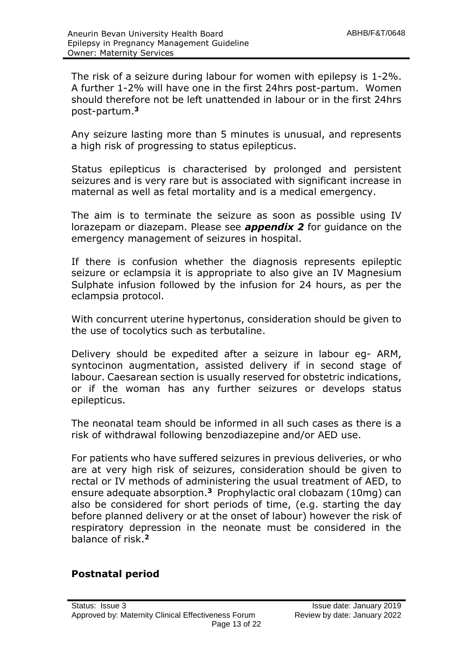The risk of a seizure during labour for women with epilepsy is 1-2%. A further 1-2% will have one in the first 24hrs post-partum. Women should therefore not be left unattended in labour or in the first 24hrs post-partum.**<sup>3</sup>**

Any seizure lasting more than 5 minutes is unusual, and represents a high risk of progressing to status epilepticus.

Status epilepticus is characterised by prolonged and persistent seizures and is very rare but is associated with significant increase in maternal as well as fetal mortality and is a medical emergency.

The aim is to terminate the seizure as soon as possible using IV lorazepam or diazepam. Please see *appendix 2* for guidance on the emergency management of seizures in hospital.

If there is confusion whether the diagnosis represents epileptic seizure or eclampsia it is appropriate to also give an IV Magnesium Sulphate infusion followed by the infusion for 24 hours, as per the eclampsia protocol.

With concurrent uterine hypertonus, consideration should be given to the use of tocolytics such as terbutaline.

Delivery should be expedited after a seizure in labour eg- ARM, syntocinon augmentation, assisted delivery if in second stage of labour. Caesarean section is usually reserved for obstetric indications, or if the woman has any further seizures or develops status epilepticus.

The neonatal team should be informed in all such cases as there is a risk of withdrawal following benzodiazepine and/or AED use.

For patients who have suffered seizures in previous deliveries, or who are at very high risk of seizures, consideration should be given to rectal or IV methods of administering the usual treatment of AED, to ensure adequate absorption.**<sup>3</sup>** Prophylactic oral clobazam (10mg) can also be considered for short periods of time, (e.g. starting the day before planned delivery or at the onset of labour) however the risk of respiratory depression in the neonate must be considered in the balance of risk.**<sup>2</sup>**

# **Postnatal period**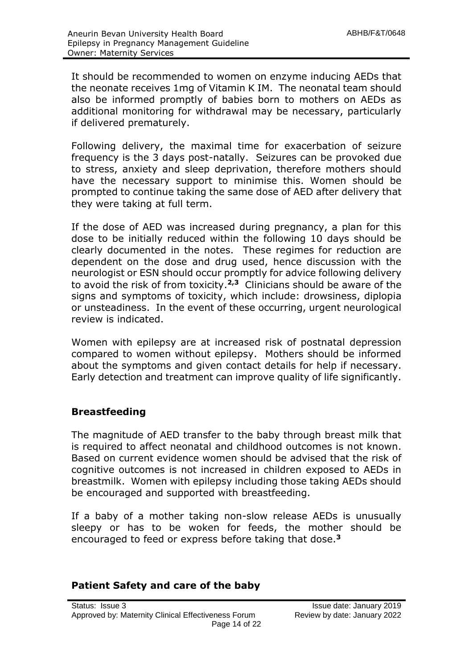It should be recommended to women on enzyme inducing AEDs that the neonate receives 1mg of Vitamin K IM. The neonatal team should also be informed promptly of babies born to mothers on AEDs as additional monitoring for withdrawal may be necessary, particularly if delivered prematurely.

Following delivery, the maximal time for exacerbation of seizure frequency is the 3 days post-natally. Seizures can be provoked due to stress, anxiety and sleep deprivation, therefore mothers should have the necessary support to minimise this. Women should be prompted to continue taking the same dose of AED after delivery that they were taking at full term.

If the dose of AED was increased during pregnancy, a plan for this dose to be initially reduced within the following 10 days should be clearly documented in the notes. These regimes for reduction are dependent on the dose and drug used, hence discussion with the neurologist or ESN should occur promptly for advice following delivery to avoid the risk of from toxicity.**2,3** Clinicians should be aware of the signs and symptoms of toxicity, which include: drowsiness, diplopia or unsteadiness. In the event of these occurring, urgent neurological review is indicated.

Women with epilepsy are at increased risk of postnatal depression compared to women without epilepsy. Mothers should be informed about the symptoms and given contact details for help if necessary. Early detection and treatment can improve quality of life significantly.

# **Breastfeeding**

The magnitude of AED transfer to the baby through breast milk that is required to affect neonatal and childhood outcomes is not known. Based on current evidence women should be advised that the risk of cognitive outcomes is not increased in children exposed to AEDs in breastmilk. Women with epilepsy including those taking AEDs should be encouraged and supported with breastfeeding.

If a baby of a mother taking non-slow release AEDs is unusually sleepy or has to be woken for feeds, the mother should be encouraged to feed or express before taking that dose.**<sup>3</sup>**

# **Patient Safety and care of the baby**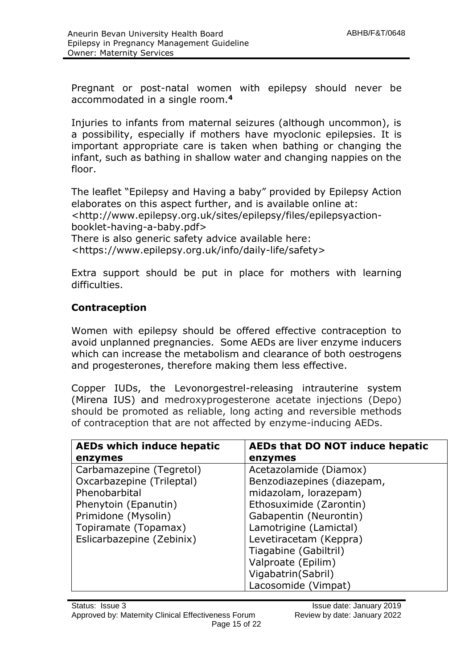Pregnant or post-natal women with epilepsy should never be accommodated in a single room.**<sup>4</sup>**

Injuries to infants from maternal seizures (although uncommon), is a possibility, especially if mothers have myoclonic epilepsies. It is important appropriate care is taken when bathing or changing the infant, such as bathing in shallow water and changing nappies on the floor.

The leaflet "Epilepsy and Having a baby" provided by Epilepsy Action elaborates on this aspect further, and is available online at: <http://www.epilepsy.org.uk/sites/epilepsy/files/epilepsyactionbooklet-having-a-baby.pdf> There is also generic safety advice available here: <https://www.epilepsy.org.uk/info/daily-life/safety>

Extra support should be put in place for mothers with learning difficulties.

# **Contraception**

Women with epilepsy should be offered effective contraception to avoid unplanned pregnancies. Some AEDs are liver enzyme inducers which can increase the metabolism and clearance of both oestrogens and progesterones, therefore making them less effective.

Copper IUDs, the Levonorgestrel-releasing intrauterine system (Mirena IUS) and medroxyprogesterone acetate injections (Depo) should be promoted as reliable, long acting and reversible methods of contraception that are not affected by enzyme-inducing AEDs.

| <b>AEDs which induce hepatic</b> | AEDs that DO NOT induce hepatic |
|----------------------------------|---------------------------------|
| enzymes                          | enzymes                         |
| Carbamazepine (Tegretol)         | Acetazolamide (Diamox)          |
| Oxcarbazepine (Trileptal)        | Benzodiazepines (diazepam,      |
| Phenobarbital                    | midazolam, lorazepam)           |
| Phenytoin (Epanutin)             | Ethosuximide (Zarontin)         |
| Primidone (Mysolin)              | Gabapentin (Neurontin)          |
| Topiramate (Topamax)             | Lamotrigine (Lamictal)          |
| Eslicarbazepine (Zebinix)        | Levetiracetam (Keppra)          |
|                                  | Tiagabine (Gabiltril)           |
|                                  | Valproate (Epilim)              |
|                                  | Vigabatrin (Sabril)             |
|                                  | Lacosomide (Vimpat)             |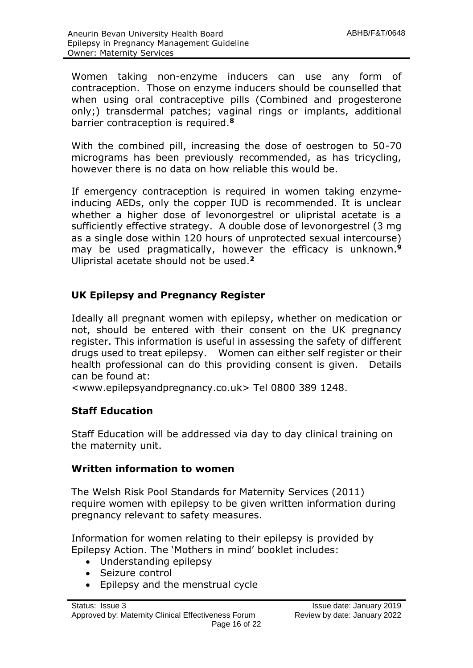Women taking non-enzyme inducers can use any form of contraception. Those on enzyme inducers should be counselled that when using oral contraceptive pills (Combined and progesterone only;) transdermal patches; vaginal rings or implants, additional barrier contraception is required.**<sup>8</sup>**

With the combined pill, increasing the dose of oestrogen to 50-70 micrograms has been previously recommended, as has tricycling, however there is no data on how reliable this would be.

If emergency contraception is required in women taking enzymeinducing AEDs, only the copper IUD is recommended. It is unclear whether a higher dose of levonorgestrel or ulipristal acetate is a sufficiently effective strategy. A double dose of levonorgestrel (3 mg as a single dose within 120 hours of unprotected sexual intercourse) may be used pragmatically, however the efficacy is unknown. **9** Ulipristal acetate should not be used.**<sup>2</sup>**

# **UK Epilepsy and Pregnancy Register**

Ideally all pregnant women with epilepsy, whether on medication or not, should be entered with their consent on the UK pregnancy register. This information is useful in assessing the safety of different drugs used to treat epilepsy. Women can either self register or their health professional can do this providing consent is given. Details can be found at:

<www.epilepsyandpregnancy.co.uk> Tel 0800 389 1248.

# **Staff Education**

Staff Education will be addressed via day to day clinical training on the maternity unit.

# **Written information to women**

The Welsh Risk Pool Standards for Maternity Services (2011) require women with epilepsy to be given written information during pregnancy relevant to safety measures.

Information for women relating to their epilepsy is provided by Epilepsy Action. The 'Mothers in mind' booklet includes:

- Understanding epilepsy
- Seizure control
- Epilepsy and the menstrual cycle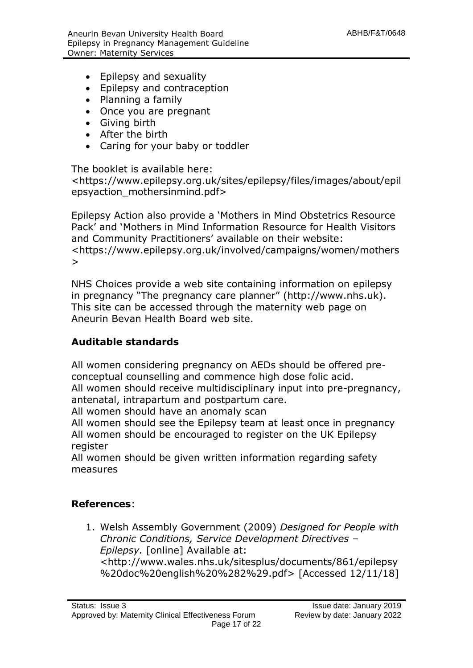- Epilepsy and sexuality
- Epilepsy and contraception
- Planning a family
- Once you are pregnant
- Giving birth
- After the birth
- Caring for your baby or toddler

The booklet is available here:

<https://www.epilepsy.org.uk/sites/epilepsy/files/images/about/epil epsyaction\_mothersinmind.pdf>

Epilepsy Action also provide a 'Mothers in Mind Obstetrics Resource Pack' and 'Mothers in Mind Information Resource for Health Visitors and Community Practitioners' available on their website: <https://www.epilepsy.org.uk/involved/campaigns/women/mothers >

NHS Choices provide a web site containing information on epilepsy in pregnancy "The pregnancy care planner" (http://www.nhs.uk). This site can be accessed through the maternity web page on Aneurin Bevan Health Board web site.

# **Auditable standards**

All women considering pregnancy on AEDs should be offered preconceptual counselling and commence high dose folic acid. All women should receive multidisciplinary input into pre-pregnancy, antenatal, intrapartum and postpartum care.

All women should have an anomaly scan

All women should see the Epilepsy team at least once in pregnancy All women should be encouraged to register on the UK Epilepsy register

All women should be given written information regarding safety measures

# **References**:

1. Welsh Assembly Government (2009) *Designed for People with Chronic Conditions, Service Development Directives – Epilepsy.* [online] Available at: <http://www.wales.nhs.uk/sitesplus/documents/861/epilepsy %20doc%20english%20%282%29.pdf> [Accessed 12/11/18]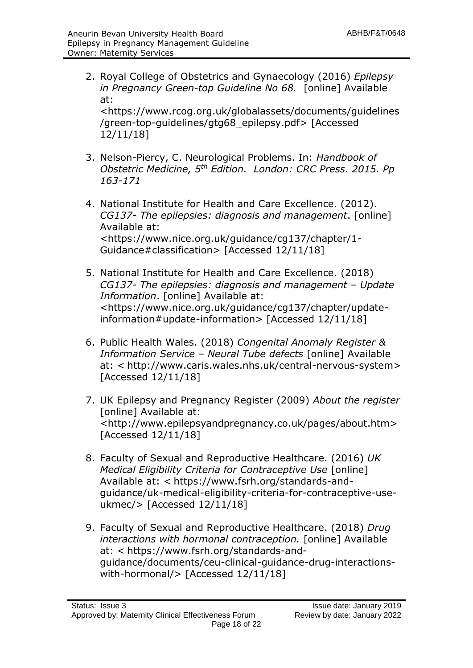2. Royal College of Obstetrics and Gynaecology (2016) *Epilepsy in Pregnancy Green-top Guideline No 68.* [online] Available at:

<https://www.rcog.org.uk/globalassets/documents/guidelines /green-top-guidelines/gtg68\_epilepsy.pdf> [Accessed 12/11/18]

- 3. Nelson-Piercy, C. Neurological Problems. In: *Handbook of Obstetric Medicine, 5th Edition. London: CRC Press. 2015. Pp 163-171*
- 4. National Institute for Health and Care Excellence. (2012). *CG137- The epilepsies: diagnosis and management*. [online] Available at: <https://www.nice.org.uk/guidance/cg137/chapter/1- Guidance#classification> [Accessed 12/11/18]
- 5. National Institute for Health and Care Excellence. (2018) *CG137- The epilepsies: diagnosis and management – Update Information*. [online] Available at: <https://www.nice.org.uk/guidance/cg137/chapter/updateinformation#update-information> [Accessed 12/11/18]
- 6. Public Health Wales. (2018) *Congenital Anomaly Register & Information Service* – *Neural Tube defects* [online] Available at: < http://www.caris.wales.nhs.uk/central-nervous-system> [Accessed 12/11/18]
- 7. UK Epilepsy and Pregnancy Register (2009) *About the register*  [online] Available at: <http://www.epilepsyandpregnancy.co.uk/pages/about.htm> [Accessed 12/11/18]
- 8. Faculty of Sexual and Reproductive Healthcare. (2016) *UK Medical Eligibility Criteria for Contraceptive Use* [online] Available at: < https://www.fsrh.org/standards-andguidance/uk-medical-eligibility-criteria-for-contraceptive-useukmec/> [Accessed 12/11/18]
- 9. Faculty of Sexual and Reproductive Healthcare. (2018) *Drug interactions with hormonal contraception.* [online] Available at: < https://www.fsrh.org/standards-andguidance/documents/ceu-clinical-guidance-drug-interactionswith-hormonal/> [Accessed 12/11/18]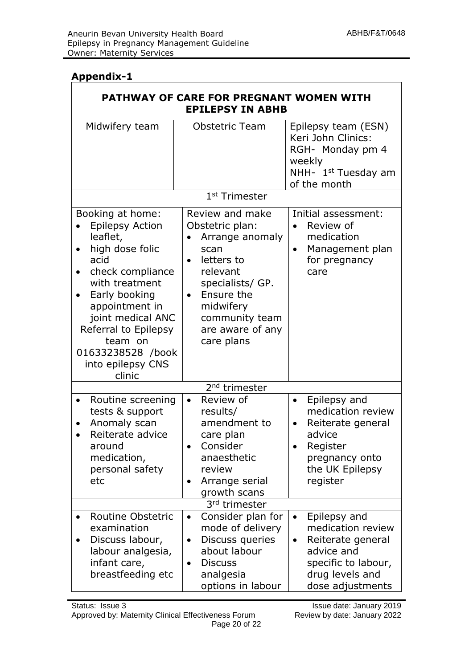# **Appendix-1**

| PATHWAY OF CARE FOR PREGNANT WOMEN WITH<br><b>EPILEPSY IN ABHB</b>                                                                                                                                                                                                                       |                                                                                                                                                                                                                      |                                                                                                                                                              |
|------------------------------------------------------------------------------------------------------------------------------------------------------------------------------------------------------------------------------------------------------------------------------------------|----------------------------------------------------------------------------------------------------------------------------------------------------------------------------------------------------------------------|--------------------------------------------------------------------------------------------------------------------------------------------------------------|
| Midwifery team                                                                                                                                                                                                                                                                           | <b>Obstetric Team</b>                                                                                                                                                                                                | Epilepsy team (ESN)<br>Keri John Clinics:<br>RGH- Monday pm 4<br>weekly<br>NHH- 1 <sup>st</sup> Tuesday am<br>of the month                                   |
|                                                                                                                                                                                                                                                                                          | 1 <sup>st</sup> Trimester                                                                                                                                                                                            |                                                                                                                                                              |
| Booking at home:<br><b>Epilepsy Action</b><br>leaflet,<br>high dose folic<br>٠<br>acid<br>check compliance<br>$\bullet$<br>with treatment<br>Early booking<br>appointment in<br>joint medical ANC<br>Referral to Epilepsy<br>team on<br>01633238528 /book<br>into epilepsy CNS<br>clinic | Review and make<br>Obstetric plan:<br>Arrange anomaly<br>scan<br>letters to<br>$\bullet$<br>relevant<br>specialists/ GP.<br>Ensure the<br>$\bullet$<br>midwifery<br>community team<br>are aware of any<br>care plans | Initial assessment:<br>Review of<br>$\bullet$<br>medication<br>Management plan<br>$\bullet$<br>for pregnancy<br>care                                         |
|                                                                                                                                                                                                                                                                                          | 2 <sup>nd</sup> trimester                                                                                                                                                                                            |                                                                                                                                                              |
| Routine screening<br>٠<br>tests & support<br>Anomaly scan<br>Reiterate advice<br>around<br>medication,<br>personal safety<br>etc                                                                                                                                                         | Review of<br>$\bullet$<br>results/<br>amendment to<br>care plan<br>Consider<br>anaesthetic<br>review<br>Arrange serial<br>$\bullet$<br>growth scans                                                                  | Epilepsy and<br>$\bullet$<br>medication review<br>Reiterate general<br>$\bullet$<br>advice<br>Register<br>pregnancy onto<br>the UK Epilepsy<br>register      |
| 3rd trimester                                                                                                                                                                                                                                                                            |                                                                                                                                                                                                                      |                                                                                                                                                              |
| Routine Obstetric<br>examination<br>Discuss labour,<br>labour analgesia,<br>infant care,<br>breastfeeding etc                                                                                                                                                                            | Consider plan for<br>$\bullet$<br>mode of delivery<br>Discuss queries<br>$\bullet$<br>about labour<br><b>Discuss</b><br>$\bullet$<br>analgesia<br>options in labour                                                  | Epilepsy and<br>$\bullet$<br>medication review<br>Reiterate general<br>$\bullet$<br>advice and<br>specific to labour,<br>drug levels and<br>dose adjustments |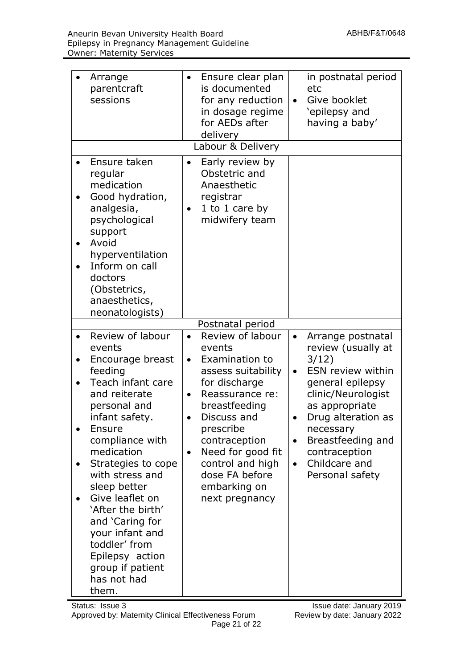| Arrange<br>parentcraft<br>sessions                                                                                                                                                                                                                                                                                                                                                                  | Ensure clear plan<br>$\bullet$<br>is documented<br>for any reduction<br>in dosage regime<br>for AEDs after<br>delivery                                                                                                                                                                                        | in postnatal period<br>etc<br>Give booklet<br>$\bullet$<br>'epilepsy and<br>having a baby'                                                                                                                                                                                                         |
|-----------------------------------------------------------------------------------------------------------------------------------------------------------------------------------------------------------------------------------------------------------------------------------------------------------------------------------------------------------------------------------------------------|---------------------------------------------------------------------------------------------------------------------------------------------------------------------------------------------------------------------------------------------------------------------------------------------------------------|----------------------------------------------------------------------------------------------------------------------------------------------------------------------------------------------------------------------------------------------------------------------------------------------------|
|                                                                                                                                                                                                                                                                                                                                                                                                     | Labour & Delivery                                                                                                                                                                                                                                                                                             |                                                                                                                                                                                                                                                                                                    |
| Ensure taken<br>regular<br>medication<br>Good hydration,<br>analgesia,<br>psychological<br>support<br>Avoid<br>hyperventilation<br>Inform on call<br>doctors<br>(Obstetrics,<br>anaesthetics,<br>neonatologists)                                                                                                                                                                                    | Early review by<br>$\bullet$<br>Obstetric and<br>Anaesthetic<br>registrar<br>1 to 1 care by<br>$\bullet$<br>midwifery team                                                                                                                                                                                    |                                                                                                                                                                                                                                                                                                    |
|                                                                                                                                                                                                                                                                                                                                                                                                     | Postnatal period                                                                                                                                                                                                                                                                                              |                                                                                                                                                                                                                                                                                                    |
| Review of labour<br>events<br>Encourage breast<br>feeding<br>Teach infant care<br>and reiterate<br>personal and<br>infant safety.<br>Ensure<br>compliance with<br>medication<br>Strategies to cope<br>with stress and<br>sleep better<br>Give leaflet on<br>'After the birth'<br>and 'Caring for<br>your infant and<br>toddler' from<br>Epilepsy action<br>group if patient<br>has not had<br>them. | Review of labour<br>$\bullet$<br>events<br>Examination to<br>$\bullet$<br>assess suitability<br>for discharge<br>Reassurance re:<br>$\bullet$<br>breastfeeding<br>Discuss and<br>prescribe<br>contraception<br>Need for good fit<br>٠<br>control and high<br>dose FA before<br>embarking on<br>next pregnancy | Arrange postnatal<br>$\bullet$<br>review (usually at<br>3/12)<br>ESN review within<br>$\bullet$<br>general epilepsy<br>clinic/Neurologist<br>as appropriate<br>Drug alteration as<br>necessary<br>Breastfeeding and<br>$\bullet$<br>contraception<br>Childcare and<br>$\bullet$<br>Personal safety |